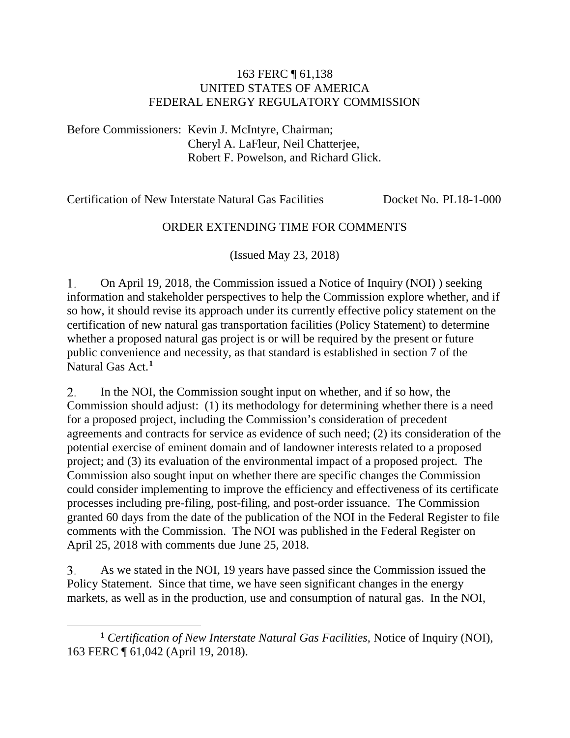## 163 FERC ¶ 61,138 UNITED STATES OF AMERICA FEDERAL ENERGY REGULATORY COMMISSION

Before Commissioners: Kevin J. McIntyre, Chairman; Cheryl A. LaFleur, Neil Chatterjee, Robert F. Powelson, and Richard Glick.

Certification of New Interstate Natural Gas Facilities Docket No. PL18-1-000

## ORDER EXTENDING TIME FOR COMMENTS

(Issued May 23, 2018)

1. On April 19, 2018, the Commission issued a Notice of Inquiry (NOI) ) seeking information and stakeholder perspectives to help the Commission explore whether, and if so how, it should revise its approach under its currently effective policy statement on the certification of new natural gas transportation facilities (Policy Statement) to determine whether a proposed natural gas project is or will be required by the present or future public convenience and necessity, as that standard is established in section 7 of the Natural Gas Act.**[1](#page-0-0)**

2. In the NOI, the Commission sought input on whether, and if so how, the Commission should adjust: (1) its methodology for determining whether there is a need for a proposed project, including the Commission's consideration of precedent agreements and contracts for service as evidence of such need; (2) its consideration of the potential exercise of eminent domain and of landowner interests related to a proposed project; and (3) its evaluation of the environmental impact of a proposed project. The Commission also sought input on whether there are specific changes the Commission could consider implementing to improve the efficiency and effectiveness of its certificate processes including pre-filing, post-filing, and post-order issuance. The Commission granted 60 days from the date of the publication of the NOI in the Federal Register to file comments with the Commission. The NOI was published in the Federal Register on April 25, 2018 with comments due June 25, 2018.

As we stated in the NOI, 19 years have passed since the Commission issued the 3. Policy Statement. Since that time, we have seen significant changes in the energy markets, as well as in the production, use and consumption of natural gas. In the NOI,

 $\overline{a}$ 

<span id="page-0-0"></span>**<sup>1</sup>** *Certification of New Interstate Natural Gas Facilities,* Notice of Inquiry (NOI), 163 FERC ¶ 61,042 (April 19, 2018).